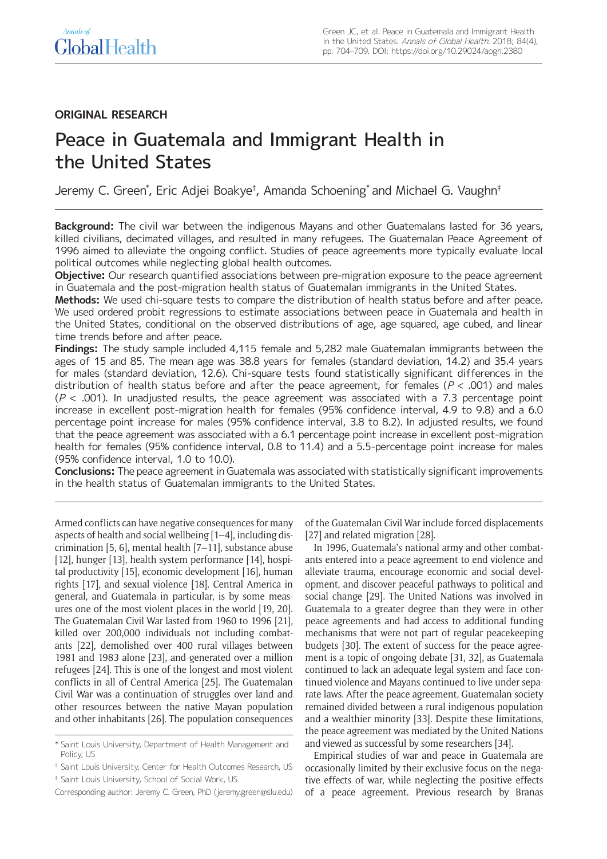# **ORIGINAL RESEARCH**

# Peace in Guatemala and Immigrant Health in the United States

Jeremy C. Green\* , Eric Adjei Boakye† , Amanda Schoening\* and Michael G. Vaughn‡

**Background:** The civil war between the indigenous Mayans and other Guatemalans lasted for 36 years, killed civilians, decimated villages, and resulted in many refugees. The Guatemalan Peace Agreement of 1996 aimed to alleviate the ongoing conflict. Studies of peace agreements more typically evaluate local political outcomes while neglecting global health outcomes.

**Objective:** Our research quantified associations between pre-migration exposure to the peace agreement in Guatemala and the post-migration health status of Guatemalan immigrants in the United States.

**Methods:** We used chi-square tests to compare the distribution of health status before and after peace. We used ordered probit regressions to estimate associations between peace in Guatemala and health in the United States, conditional on the observed distributions of age, age squared, age cubed, and linear time trends before and after peace.

**Findings:** The study sample included 4,115 female and 5,282 male Guatemalan immigrants between the ages of 15 and 85. The mean age was 38.8 years for females (standard deviation, 14.2) and 35.4 years for males (standard deviation, 12.6). Chi-square tests found statistically significant differences in the distribution of health status before and after the peace agreement, for females ( $P < .001$ ) and males  $(P < .001)$ . In unadjusted results, the peace agreement was associated with a 7.3 percentage point increase in excellent post-migration health for females (95% confidence interval, 4.9 to 9.8) and a 6.0 percentage point increase for males (95% confidence interval, 3.8 to 8.2). In adjusted results, we found that the peace agreement was associated with a 6.1 percentage point increase in excellent post-migration health for females (95% confidence interval, 0.8 to 11.4) and a 5.5-percentage point increase for males (95% confidence interval, 1.0 to 10.0).

**Conclusions:** The peace agreement in Guatemala was associated with statistically significant improvements in the health status of Guatemalan immigrants to the United States.

Armed conflicts can have negative consequences for many aspects of health and social wellbeing [1–4], including discrimination [5, 6], mental health [7–11], substance abuse [12], hunger [13], health system performance [14], hospital productivity [15], economic development [16], human rights [17], and sexual violence [18]. Central America in general, and Guatemala in particular, is by some measures one of the most violent places in the world [19, 20]. The Guatemalan Civil War lasted from 1960 to 1996 [21], killed over 200,000 individuals not including combatants [22], demolished over 400 rural villages between 1981 and 1983 alone [23], and generated over a million refugees [24]. This is one of the longest and most violent conflicts in all of Central America [25]. The Guatemalan Civil War was a continuation of struggles over land and other resources between the native Mayan population and other inhabitants [26]. The population consequences

Corresponding author: Jeremy C. Green, PhD ([jeremy.green@slu.edu\)](mailto:jeremy.green@slu.edu)

of the Guatemalan Civil War include forced displacements [27] and related migration [28].

In 1996, Guatemala's national army and other combatants entered into a peace agreement to end violence and alleviate trauma, encourage economic and social development, and discover peaceful pathways to political and social change [29]. The United Nations was involved in Guatemala to a greater degree than they were in other peace agreements and had access to additional funding mechanisms that were not part of regular peacekeeping budgets [30]. The extent of success for the peace agreement is a topic of ongoing debate [31, 32], as Guatemala continued to lack an adequate legal system and face continued violence and Mayans continued to live under separate laws. After the peace agreement, Guatemalan society remained divided between a rural indigenous population and a wealthier minority [33]. Despite these limitations, the peace agreement was mediated by the United Nations and viewed as successful by some researchers [34].

Empirical studies of war and peace in Guatemala are occasionally limited by their exclusive focus on the negative effects of war, while neglecting the positive effects of a peace agreement. Previous research by Branas

<sup>\*</sup> Saint Louis University, Department of Health Management and Policy, US

<sup>†</sup> Saint Louis University, Center for Health Outcomes Research, US

<sup>‡</sup> Saint Louis University, School of Social Work, US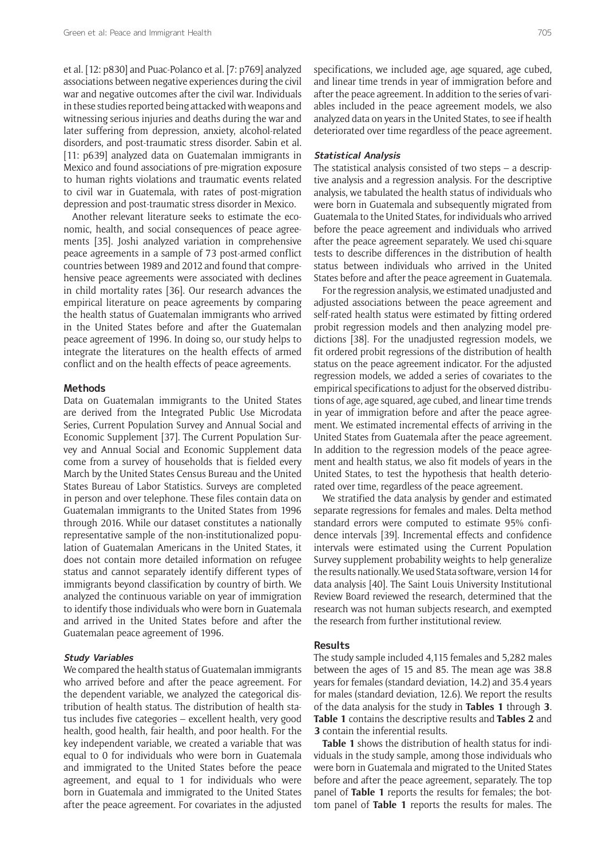et al. [12: p830] and Puac-Polanco et al. [7: p769] analyzed associations between negative experiences during the civil war and negative outcomes after the civil war. Individuals in these studies reported being attacked with weapons and witnessing serious injuries and deaths during the war and later suffering from depression, anxiety, alcohol-related disorders, and post-traumatic stress disorder. Sabin et al. [11: p639] analyzed data on Guatemalan immigrants in Mexico and found associations of pre-migration exposure to human rights violations and traumatic events related to civil war in Guatemala, with rates of post-migration depression and post-traumatic stress disorder in Mexico.

Another relevant literature seeks to estimate the economic, health, and social consequences of peace agreements [35]. Joshi analyzed variation in comprehensive peace agreements in a sample of 73 post-armed conflict countries between 1989 and 2012 and found that comprehensive peace agreements were associated with declines in child mortality rates [36]. Our research advances the empirical literature on peace agreements by comparing the health status of Guatemalan immigrants who arrived in the United States before and after the Guatemalan peace agreement of 1996. In doing so, our study helps to integrate the literatures on the health effects of armed conflict and on the health effects of peace agreements.

#### **Methods**

Data on Guatemalan immigrants to the United States are derived from the Integrated Public Use Microdata Series, Current Population Survey and Annual Social and Economic Supplement [37]. The Current Population Survey and Annual Social and Economic Supplement data come from a survey of households that is fielded every March by the United States Census Bureau and the United States Bureau of Labor Statistics. Surveys are completed in person and over telephone. These files contain data on Guatemalan immigrants to the United States from 1996 through 2016. While our dataset constitutes a nationally representative sample of the non-institutionalized population of Guatemalan Americans in the United States, it does not contain more detailed information on refugee status and cannot separately identify different types of immigrants beyond classification by country of birth. We analyzed the continuous variable on year of immigration to identify those individuals who were born in Guatemala and arrived in the United States before and after the Guatemalan peace agreement of 1996.

#### **Study Variables**

We compared the health status of Guatemalan immigrants who arrived before and after the peace agreement. For the dependent variable, we analyzed the categorical distribution of health status. The distribution of health status includes five categories – excellent health, very good health, good health, fair health, and poor health. For the key independent variable, we created a variable that was equal to 0 for individuals who were born in Guatemala and immigrated to the United States before the peace agreement, and equal to 1 for individuals who were born in Guatemala and immigrated to the United States after the peace agreement. For covariates in the adjusted

specifications, we included age, age squared, age cubed, and linear time trends in year of immigration before and after the peace agreement. In addition to the series of variables included in the peace agreement models, we also analyzed data on years in the United States, to see if health deteriorated over time regardless of the peace agreement.

## **Statistical Analysis**

The statistical analysis consisted of two steps – a descriptive analysis and a regression analysis. For the descriptive analysis, we tabulated the health status of individuals who were born in Guatemala and subsequently migrated from Guatemala to the United States, for individuals who arrived before the peace agreement and individuals who arrived after the peace agreement separately. We used chi-square tests to describe differences in the distribution of health status between individuals who arrived in the United States before and after the peace agreement in Guatemala.

For the regression analysis, we estimated unadjusted and adjusted associations between the peace agreement and self-rated health status were estimated by fitting ordered probit regression models and then analyzing model predictions [38]. For the unadjusted regression models, we fit ordered probit regressions of the distribution of health status on the peace agreement indicator. For the adjusted regression models, we added a series of covariates to the empirical specifications to adjust for the observed distributions of age, age squared, age cubed, and linear time trends in year of immigration before and after the peace agreement. We estimated incremental effects of arriving in the United States from Guatemala after the peace agreement. In addition to the regression models of the peace agreement and health status, we also fit models of years in the United States, to test the hypothesis that health deteriorated over time, regardless of the peace agreement.

We stratified the data analysis by gender and estimated separate regressions for females and males. Delta method standard errors were computed to estimate 95% confidence intervals [39]. Incremental effects and confidence intervals were estimated using the Current Population Survey supplement probability weights to help generalize the results nationally. We used Stata software, version 14 for data analysis [40]. The Saint Louis University Institutional Review Board reviewed the research, determined that the research was not human subjects research, and exempted the research from further institutional review.

## **Results**

The study sample included 4,115 females and 5,282 males between the ages of 15 and 85. The mean age was 38.8 years for females (standard deviation, 14.2) and 35.4 years for males (standard deviation, 12.6). We report the results of the data analysis for the study in **Tables 1** through **3**. **Table 1** contains the descriptive results and **Tables 2** and **3** contain the inferential results.

**Table 1** shows the distribution of health status for individuals in the study sample, among those individuals who were born in Guatemala and migrated to the United States before and after the peace agreement, separately. The top panel of **Table 1** reports the results for females; the bottom panel of **Table 1** reports the results for males. The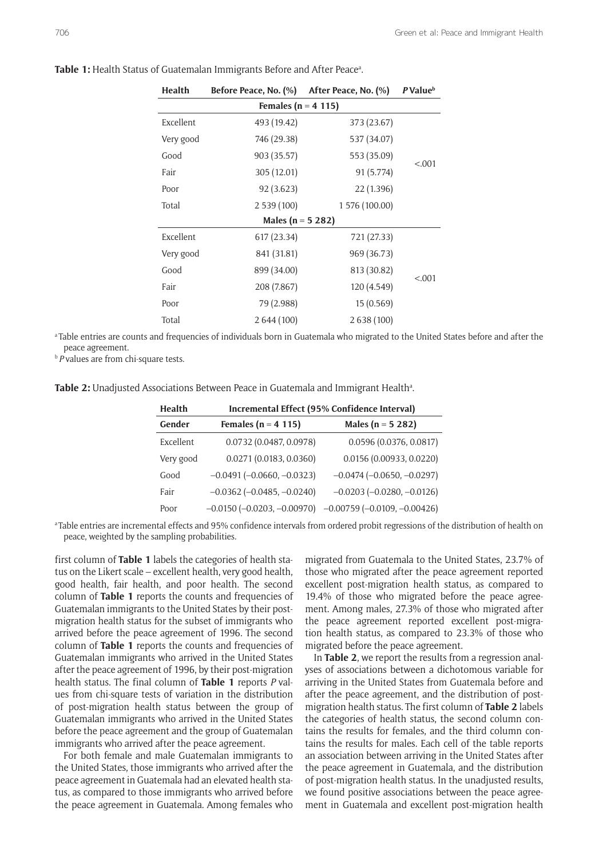| <b>Health</b>          | Before Peace, No. (%) | After Peace, No. (%) | P Value <sup>b</sup> |  |  |
|------------------------|-----------------------|----------------------|----------------------|--|--|
| Females ( $n = 4$ 115) |                       |                      |                      |  |  |
| Excellent              | 493 (19.42)           | 373 (23.67)          |                      |  |  |
| Very good              | 746 (29.38)           | 537 (34.07)          |                      |  |  |
| Good                   | 903 (35.57)           | 553 (35.09)          |                      |  |  |
| Fair                   | 305 (12.01)           | 91 (5.774)           | < 0.001              |  |  |
| Poor                   | 92 (3.623)            | 22 (1.396)           |                      |  |  |
| Total                  | 2539(100)             | 1 576 (100.00)       |                      |  |  |
| Males (n = 5 282)      |                       |                      |                      |  |  |
| Excellent              | 617 (23.34)           | 721 (27.33)          |                      |  |  |
| Very good              | 841 (31.81)           | 969 (36.73)          |                      |  |  |
| Good                   | 899 (34.00)           | 813 (30.82)          | < 0.001              |  |  |
| Fair                   | 208 (7.867)           | 120 (4.549)          |                      |  |  |
| Poor                   | 79 (2.988)            | 15(0.569)            |                      |  |  |
| Total                  | 2 644 (100)           | 2 638 (100)          |                      |  |  |

Table 1: Health Status of Guatemalan Immigrants Before and After Peace<sup>a</sup>.

a Table entries are counts and frequencies of individuals born in Guatemala who migrated to the United States before and after the peace agreement.

*b* P values are from chi-square tests.

**Table 2:** Unadjusted Associations Between Peace in Guatemala and Immigrant Healthª.

| <b>Health</b> | Incremental Effect (95% Confidence Interval) |                                |  |
|---------------|----------------------------------------------|--------------------------------|--|
| Gender        | Females ( $n = 4$ 115)                       | Males ( $n = 5, 282$ )         |  |
| Excellent     | 0.0732 (0.0487, 0.0978)                      | 0.0596 (0.0376, 0.0817)        |  |
| Very good     | 0.0271 (0.0183, 0.0360)                      | 0.0156 (0.00933, 0.0220)       |  |
| Good          | $-0.0491 (-0.0660, -0.0323)$                 | $-0.0474 (-0.0650, -0.0297)$   |  |
| Fair          | $-0.0362$ ( $-0.0485, -0.0240$ )             | $-0.0203(-0.0280, -0.0126)$    |  |
| Poor          | $-0.0150 (-0.0203, -0.00970)$                | $-0.00759 (-0.0109, -0.00426)$ |  |

a Table entries are incremental effects and 95% confidence intervals from ordered probit regressions of the distribution of health on peace, weighted by the sampling probabilities.

first column of **Table 1** labels the categories of health status on the Likert scale – excellent health, very good health, good health, fair health, and poor health. The second column of **Table 1** reports the counts and frequencies of Guatemalan immigrants to the United States by their postmigration health status for the subset of immigrants who arrived before the peace agreement of 1996. The second column of **Table 1** reports the counts and frequencies of Guatemalan immigrants who arrived in the United States after the peace agreement of 1996, by their post-migration health status. The final column of **Table 1** reports *P* values from chi-square tests of variation in the distribution of post-migration health status between the group of Guatemalan immigrants who arrived in the United States before the peace agreement and the group of Guatemalan immigrants who arrived after the peace agreement.

For both female and male Guatemalan immigrants to the United States, those immigrants who arrived after the peace agreement in Guatemala had an elevated health status, as compared to those immigrants who arrived before the peace agreement in Guatemala. Among females who

migrated from Guatemala to the United States, 23.7% of those who migrated after the peace agreement reported excellent post-migration health status, as compared to 19.4% of those who migrated before the peace agreement. Among males, 27.3% of those who migrated after the peace agreement reported excellent post-migration health status, as compared to 23.3% of those who migrated before the peace agreement.

In **Table 2**, we report the results from a regression analyses of associations between a dichotomous variable for arriving in the United States from Guatemala before and after the peace agreement, and the distribution of postmigration health status. The first column of **Table 2** labels the categories of health status, the second column contains the results for females, and the third column contains the results for males. Each cell of the table reports an association between arriving in the United States after the peace agreement in Guatemala, and the distribution of post-migration health status. In the unadjusted results, we found positive associations between the peace agreement in Guatemala and excellent post-migration health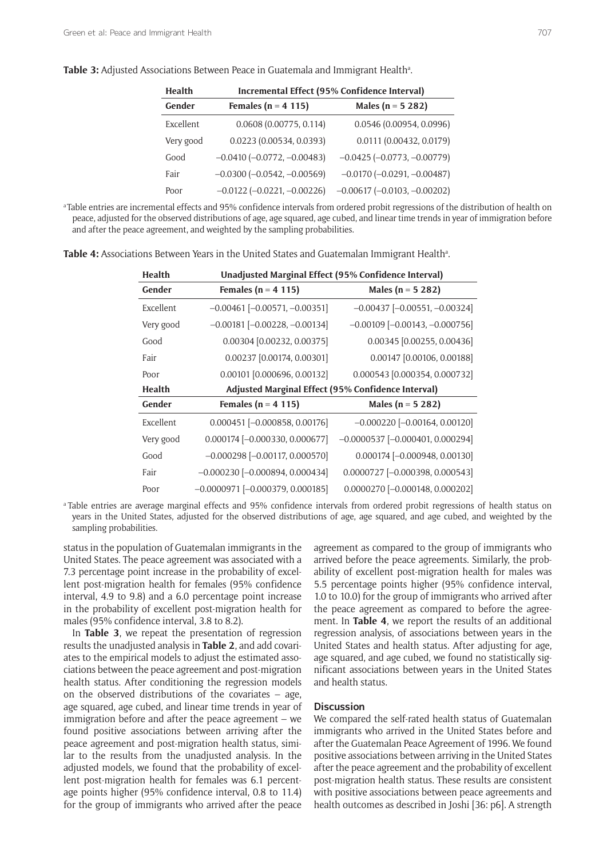| <b>Health</b> | Incremental Effect (95% Confidence Interval) |                                  |  |
|---------------|----------------------------------------------|----------------------------------|--|
| Gender        | Females ( $n = 4$ 115)                       | Males ( $n = 5, 282$ )           |  |
| Excellent     | 0.0608(0.00775, 0.114)                       | 0.0546 (0.00954, 0.0996)         |  |
| Very good     | 0.0223 (0.00534, 0.0393)                     | 0.0111 (0.00432, 0.0179)         |  |
| Good          | $-0.0410 (-0.0772, -0.00483)$                | $-0.0425 (-0.0773, -0.00779)$    |  |
| Fair          | $-0.0300 (-0.0542, -0.00569)$                | $-0.0170 (-0.0291, -0.00487)$    |  |
| Poor          | $-0.0122$ $(-0.0221, -0.00226)$              | $-0.00617$ $(-0.0103, -0.00202)$ |  |

Table 3: Adjusted Associations Between Peace in Guatemala and Immigrant Health<sup>a</sup>.

a Table entries are incremental effects and 95% confidence intervals from ordered probit regressions of the distribution of health on peace, adjusted for the observed distributions of age, age squared, age cubed, and linear time trends in year of immigration before and after the peace agreement, and weighted by the sampling probabilities.

| <b>Health</b> | Unadjusted Marginal Effect (95% Confidence Interval) |                                        |  |
|---------------|------------------------------------------------------|----------------------------------------|--|
| Gender        | Females ( $n = 4$ 115)                               | Males ( $n = 5, 282$ )                 |  |
| Excellent     | $-0.00461$ $[-0.00571, -0.00351]$                    | $-0.00437$ [ $-0.00551$ , $-0.00324$ ] |  |
| Very good     | $-0.00181$ $[-0.00228, -0.00134]$                    | $-0.00109$ $[-0.00143, -0.000756]$     |  |
| Good          | 0.00304 [0.00232, 0.00375]                           | 0.00345 [0.00255, 0.00436]             |  |
| Fair          | 0.00237 [0.00174, 0.00301]                           | 0.00147 [0.00106, 0.00188]             |  |
| Poor          | 0.00101 [0.000696, 0.00132]                          | 0.000543 [0.000354, 0.000732]          |  |
| <b>Health</b> | Adjusted Marginal Effect (95% Confidence Interval)   |                                        |  |
| Gender        | Females ( $n = 4$ 115)                               | Males ( $n = 5282$ )                   |  |
| Excellent     | $0.000451$ [-0.000858, 0.00176]                      | $-0.000220$ $[-0.00164, 0.00120]$      |  |
| Very good     | $0.000174$ [-0.000330, 0.000677]                     | $-0.0000537$ $[-0.000401, 0.000294]$   |  |
| Good          | $-0.000298$ [ $-0.00117, 0.000570$ ]                 | $0.000174$ [-0.000948, 0.00130]        |  |
| Fair          | $-0.000230$ [ $-0.000894$ , 0.000434]                | 0.0000727 [-0.000398, 0.000543]        |  |
| Poor          | $-0.0000971$ $[-0.000379, 0.000185]$                 | 0.0000270 [-0.000148, 0.000202]        |  |

**Table 4:** Associations Between Years in the United States and Guatemalan Immigrant Healthª.

a Table entries are average marginal effects and 95% confidence intervals from ordered probit regressions of health status on years in the United States, adjusted for the observed distributions of age, age squared, and age cubed, and weighted by the sampling probabilities.

status in the population of Guatemalan immigrants in the United States. The peace agreement was associated with a 7.3 percentage point increase in the probability of excellent post-migration health for females (95% confidence interval, 4.9 to 9.8) and a 6.0 percentage point increase in the probability of excellent post-migration health for males (95% confidence interval, 3.8 to 8.2).

In **Table 3**, we repeat the presentation of regression results the unadjusted analysis in **Table 2**, and add covariates to the empirical models to adjust the estimated associations between the peace agreement and post-migration health status. After conditioning the regression models on the observed distributions of the covariates – age, age squared, age cubed, and linear time trends in year of immigration before and after the peace agreement – we found positive associations between arriving after the peace agreement and post-migration health status, similar to the results from the unadjusted analysis. In the adjusted models, we found that the probability of excellent post-migration health for females was 6.1 percentage points higher (95% confidence interval, 0.8 to 11.4) for the group of immigrants who arrived after the peace agreement as compared to the group of immigrants who arrived before the peace agreements. Similarly, the probability of excellent post-migration health for males was 5.5 percentage points higher (95% confidence interval, 1.0 to 10.0) for the group of immigrants who arrived after the peace agreement as compared to before the agreement. In **Table 4**, we report the results of an additional regression analysis, of associations between years in the United States and health status. After adjusting for age, age squared, and age cubed, we found no statistically significant associations between years in the United States and health status.

#### **Discussion**

We compared the self-rated health status of Guatemalan immigrants who arrived in the United States before and after the Guatemalan Peace Agreement of 1996. We found positive associations between arriving in the United States after the peace agreement and the probability of excellent post-migration health status. These results are consistent with positive associations between peace agreements and health outcomes as described in Joshi [36: p6]. A strength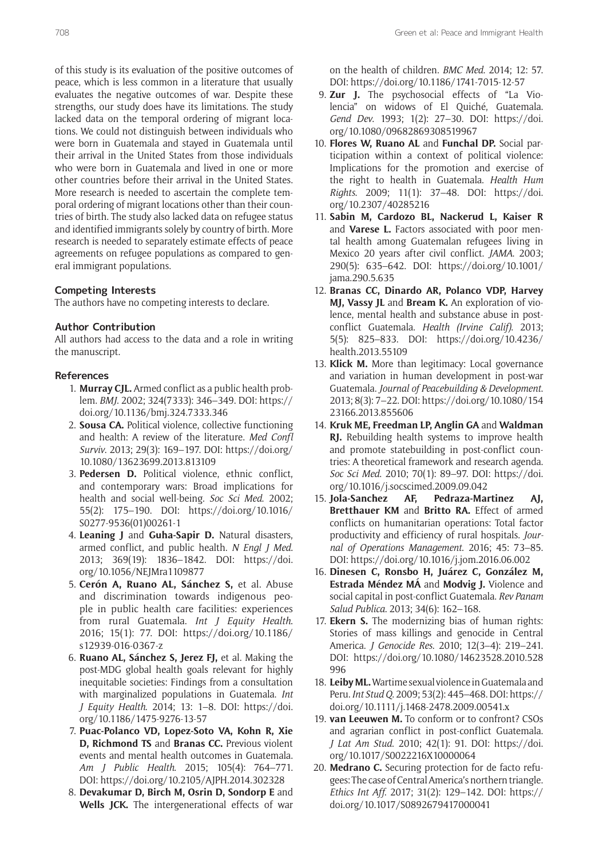of this study is its evaluation of the positive outcomes of peace, which is less common in a literature that usually evaluates the negative outcomes of war. Despite these strengths, our study does have its limitations. The study lacked data on the temporal ordering of migrant locations. We could not distinguish between individuals who were born in Guatemala and stayed in Guatemala until their arrival in the United States from those individuals who were born in Guatemala and lived in one or more other countries before their arrival in the United States. More research is needed to ascertain the complete temporal ordering of migrant locations other than their countries of birth. The study also lacked data on refugee status and identified immigrants solely by country of birth. More research is needed to separately estimate effects of peace agreements on refugee populations as compared to general immigrant populations.

# **Competing Interests**

The authors have no competing interests to declare.

#### **Author Contribution**

All authors had access to the data and a role in writing the manuscript.

# **References**

- 1. **Murray CJL.** Armed conflict as a public health problem. *BMJ*. 2002; 324(7333): 346–349. DOI: [https://](https://doi.org/10.1136/bmj.324.7333.346) [doi.org/10.1136/bmj.324.7333.346](https://doi.org/10.1136/bmj.324.7333.346)
- 2. **Sousa CA.** Political violence, collective functioning and health: A review of the literature. *Med Confl Surviv*. 2013; 29(3): 169–197. DOI: [https://doi.org/](https://doi.org/10.1080/13623699.2013.813109) [10.1080/13623699.2013.813109](https://doi.org/10.1080/13623699.2013.813109)
- 3. **Pedersen D.** Political violence, ethnic conflict, and contemporary wars: Broad implications for health and social well-being. *Soc Sci Med*. 2002; 55(2): 175–190. DOI: [https://doi.org/10.1016/](https://doi.org/10.1016/S0277-9536(01)00261-1) [S0277-9536\(01\)00261-1](https://doi.org/10.1016/S0277-9536(01)00261-1)
- 4. **Leaning J** and **Guha-Sapir D.** Natural disasters, armed conflict, and public health. *N Engl J Med*. 2013; 369(19): 1836–1842. DOI: [https://doi.](https://doi.org/10.1056/NEJMra1109877) [org/10.1056/NEJMra1109877](https://doi.org/10.1056/NEJMra1109877)
- 5. **Cerón A, Ruano AL, Sánchez S,** et al. Abuse and discrimination towards indigenous people in public health care facilities: experiences from rural Guatemala. *Int J Equity Health*. 2016; 15(1): 77. DOI: [https://doi.org/10.1186/](https://doi.org/10.1186/s12939-016-0367-z) [s12939-016-0367-z](https://doi.org/10.1186/s12939-016-0367-z)
- 6. **Ruano AL, Sánchez S, Jerez FJ,** et al. Making the post-MDG global health goals relevant for highly inequitable societies: Findings from a consultation with marginalized populations in Guatemala. *Int J Equity Health*. 2014; 13: 1–8. DOI: [https://doi.](https://doi.org/10.1186/1475-9276-13-57) [org/10.1186/1475-9276-13-57](https://doi.org/10.1186/1475-9276-13-57)
- 7. **Puac-Polanco VD, Lopez-Soto VA, Kohn R, Xie D, Richmond TS** and **Branas CC.** Previous violent events and mental health outcomes in Guatemala. *Am J Public Health*. 2015; 105(4): 764–771. DOI: <https://doi.org/10.2105/AJPH.2014.302328>
- 8. **Devakumar D, Birch M, Osrin D, Sondorp E** and **Wells JCK.** The intergenerational effects of war

on the health of children. *BMC Med*. 2014; 12: 57. DOI:<https://doi.org/10.1186/1741-7015-12-57>

- 9. **Zur J.** The psychosocial effects of "La Violencia" on widows of El Quiché, Guatemala. *Gend Dev*. 1993; 1(2): 27–30. DOI: [https://doi.](https://doi.org/10.1080/09682869308519967) [org/10.1080/09682869308519967](https://doi.org/10.1080/09682869308519967)
- 10. **Flores W, Ruano AL** and **Funchal DP.** Social participation within a context of political violence: Implications for the promotion and exercise of the right to health in Guatemala. *Health Hum Rights*. 2009; 11(1): 37–48. DOI: [https://doi.](https://doi.org/10.2307/40285216) [org/10.2307/40285216](https://doi.org/10.2307/40285216)
- 11. **Sabin M, Cardozo BL, Nackerud L, Kaiser R**  and **Varese L.** Factors associated with poor mental health among Guatemalan refugees living in Mexico 20 years after civil conflict. *JAMA*. 2003; 290(5): 635–642. DOI: [https://doi.org/10.1001/](https://doi.org/10.1001/jama.290.5.635) [jama.290.5.635](https://doi.org/10.1001/jama.290.5.635)
- 12. **Branas CC, Dinardo AR, Polanco VDP, Harvey MJ, Vassy JL** and **Bream K.** An exploration of violence, mental health and substance abuse in postconflict Guatemala. *Health (Irvine Calif)*. 2013; 5(5): 825–833. DOI: [https://doi.org/10.4236/](https://doi.org/10.4236/health.2013.55109) [health.2013.55109](https://doi.org/10.4236/health.2013.55109)
- 13. **Klick M.** More than legitimacy: Local governance and variation in human development in post-war Guatemala. *Journal of Peacebuilding & Development*. 2013; 8(3): 7–22. DOI: [https://doi.org/10.1080/154](https://doi.org/10.1080/15423166.2013.855606) [23166.2013.855606](https://doi.org/10.1080/15423166.2013.855606)
- 14. **Kruk ME, Freedman LP, Anglin GA** and **Waldman RJ.** Rebuilding health systems to improve health and promote statebuilding in post-conflict countries: A theoretical framework and research agenda. *Soc Sci Med*. 2010; 70(1): 89–97. DOI: [https://doi.](https://doi.org/10.1016/j.socscimed.2009.09.042) [org/10.1016/j.socscimed.2009.09.042](https://doi.org/10.1016/j.socscimed.2009.09.042)
- 15. **Jola-Sanchez AF, Pedraza-Martinez AJ, Bretthauer KM** and **Britto RA.** Effect of armed conflicts on humanitarian operations: Total factor productivity and efficiency of rural hospitals. *Journal of Operations Management*. 2016; 45: 73–85. DOI:<https://doi.org/10.1016/j.jom.2016.06.002>
- 16. **Dinesen C, Ronsbo H, Juárez C, González M, Estrada Méndez MÁ** and **Modvig J.** Violence and social capital in post-conflict Guatemala. *Rev Panam Salud Publica*. 2013; 34(6): 162–168.
- 17. **Ekern S.** The modernizing bias of human rights: Stories of mass killings and genocide in Central America. *J Genocide Res*. 2010; 12(3–4): 219–241. DOI: [https://doi.org/10.1080/14623528.2010.528](https://doi.org/10.1080/14623528.2010.528996) [996](https://doi.org/10.1080/14623528.2010.528996)
- 18. **Leiby ML.** Wartime sexual violence in Guatemala and Peru. *Int Stud Q*. 2009; 53(2): 445–468. DOI: [https://](https://doi.org/10.1111/j.1468-2478.2009.00541.x) [doi.org/10.1111/j.1468-2478.2009.00541.x](https://doi.org/10.1111/j.1468-2478.2009.00541.x)
- 19. **van Leeuwen M.** To conform or to confront? CSOs and agrarian conflict in post-conflict Guatemala. *J Lat Am Stud*. 2010; 42(1): 91. DOI: [https://doi.](https://doi.org/10.1017/S0022216X10000064) [org/10.1017/S0022216X10000064](https://doi.org/10.1017/S0022216X10000064)
- 20. **Medrano C.** Securing protection for de facto refugees: The case of Central America's northern triangle. *Ethics Int Aff*. 2017; 31(2): 129–142. DOI: [https://](https://doi.org/10.1017/S0892679417000041) [doi.org/10.1017/S0892679417000041](https://doi.org/10.1017/S0892679417000041)